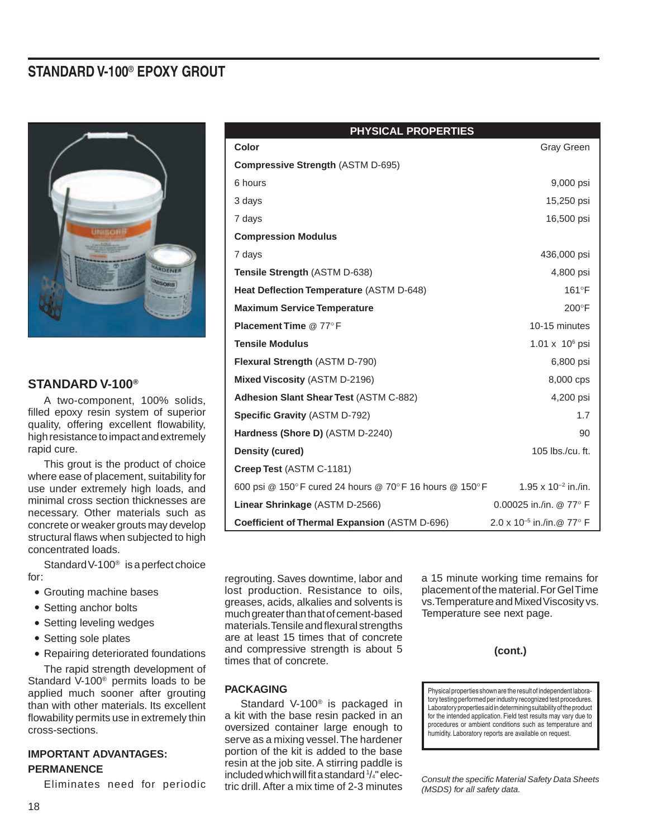# **STANDARD V-100**® **EPOXY GROUT**



# **STANDARD V-100®**

 A two-component, 100% solids, filled epoxy resin system of superior quality, offering excellent flowability, high resistance to impact and extremely rapid cure.

This grout is the product of choice where ease of placement, suitability for use under extremely high loads, and minimal cross section thicknesses are necessary. Other materials such as concrete or weaker grouts may develop structural flaws when subjected to high concentrated loads.

Standard V-100<sup>®</sup> is a perfect choice for:

- Grouting machine bases
- Setting anchor bolts
- Setting leveling wedges
- Setting sole plates
- Repairing deteriorated foundations

The rapid strength development of Standard V-100 $^{\circ}$  permits loads to be applied much sooner after grouting than with other materials. Its excellent flowability permits use in extremely thin cross-sections.

# **IMPORTANT ADVANTAGES: PERMANENCE**

 Eliminates need for periodic

| <b>PHYSICAL PROPERTIES</b> |                                                        |                                     |
|----------------------------|--------------------------------------------------------|-------------------------------------|
|                            | Color                                                  | Gray Green                          |
|                            | <b>Compressive Strength (ASTM D-695)</b>               |                                     |
|                            | 6 hours                                                | 9,000 psi                           |
|                            | 3 days                                                 | 15,250 psi                          |
|                            | 7 days                                                 | 16,500 psi                          |
|                            | <b>Compression Modulus</b>                             |                                     |
|                            | 7 days                                                 | 436,000 psi                         |
|                            | Tensile Strength (ASTM D-638)                          | 4,800 psi                           |
|                            | Heat Deflection Temperature (ASTM D-648)               | $161^{\circ}F$                      |
|                            | <b>Maximum Service Temperature</b>                     | $200^{\circ}$ F                     |
|                            | <b>Placement Time @ 77°F</b>                           | 10-15 minutes                       |
|                            | <b>Tensile Modulus</b>                                 | $1.01 \times 10^6$ psi              |
|                            | Flexural Strength (ASTM D-790)                         | 6,800 psi                           |
|                            | Mixed Viscosity (ASTM D-2196)                          | 8,000 cps                           |
|                            | Adhesion Slant Shear Test (ASTM C-882)                 | 4,200 psi                           |
|                            | <b>Specific Gravity (ASTM D-792)</b>                   | 1.7                                 |
|                            | Hardness (Shore D) (ASTM D-2240)                       | 90                                  |
|                            | <b>Density (cured)</b>                                 | 105 lbs./cu. ft.                    |
|                            | Creep Test (ASTM C-1181)                               |                                     |
|                            | 600 psi @ 150°F cured 24 hours @ 70°F 16 hours @ 150°F | $1.95 \times 10^{-2}$ in./in.       |
|                            | Linear Shrinkage (ASTM D-2566)                         | 0.00025 in./in. @ 77° F             |
|                            | Coefficient of Thermal Expansion (ASTM D-696)          | $2.0 \times 10^{-5}$ in /in @ 77° F |

regrouting. Saves downtime, labor and lost production. Resistance to oils, greases, acids, alkalies and solvents is much greater than that of cement-based materials.Tensileandflexural strengths are at least 15 times that of concrete and compressive strength is about 5 times that of concrete.

 Standard V-100® is packaged in a kit with the base resin packed in an oversized container large enough to serve as a mixing vessel. The hardener portion of the kit is added to the base resin at the job site. A stirring paddle is included which will fit a standard 1/4" electric drill. After a mix time of 2-3 minutes

**PACKAGING**

a 15 minute working time remains for placement of the material. For Gel Time vs. Temperature and Mixed Viscosity vs. Temperature see next page.

```
(cont.)
```
Physical properties shown are the result of independent laboratory testing performed per industry recognized test procedures. Laboratory properties aid in determining suitability of the product for the intended application. Field test results may vary due to procedures or ambient conditions such as temperature and humidity. Laboratory reports are available on request.

*Consult the specific Material Safety Data Sheets (MSDS) for all safety data.*